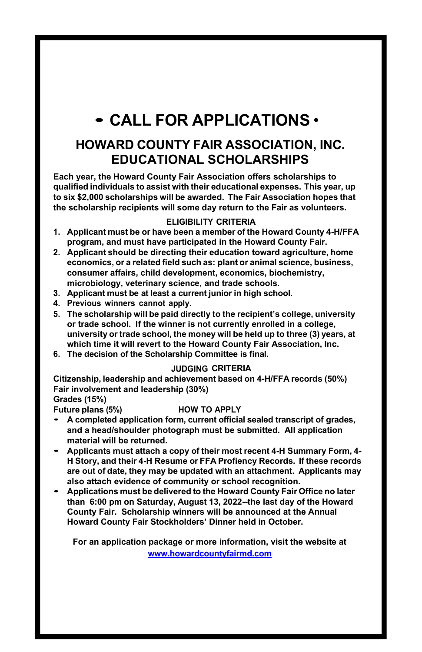## • CALL FOR APPLICATIONS •

### HOWARD COUNTY FAIR ASSOCIATION, INC. EDUCATIONAL SCHOLARSHIPS

Each year, the Howard County Fair Association offers scholarships to qualified individuals to assist with their educational expenses. This year, up to six \$2,000 scholarships will be awarded. The Fair Association hopes that the scholarship recipients will some day return to the Fair as volunteers.

#### ELIGIBILITY CRITERIA

- 1. Applicant must be or have been a member of the Howard County 4-H/FFA program, and must have participated in the Howard County Fair.
- 2. Applicant should be directing their education toward agriculture, home economics, or a related field such as: plant or animal science, business, consumer affairs, child development, economics, biochemistry, microbiology, veterinary science, and trade schools.
- 3. Applicant must be at least a current junior in high school.
- 4. Previous winners cannot apply.
- 5. The scholarship will be paid directly to the recipient's college, university or trade school. If the winner is not currently enrolled in a college, university or trade school, the money will be held up to three (3) years, at which time it will revert to the Howard County Fair Association, Inc.
- 6. The decision of the Scholarship Committee is final.

#### JUDGING CRITERIA

Citizenship, leadership and achievement based on 4-H/FFA records (50%) Fair involvement and leadership (30%) Grades (15%)

#### Future plans (5%) HOW TO APPLY

- A completed application form, current official sealed transcript of grades, and a head/shoulder photograph must be submitted. All application material will be returned.<br>• Applicants must attach a copy of their most recent 4-H Summary Form, 4-
- H Story, and their 4-H Resume or FFA Profiency Records. If these records are out of date, they may be updated with an attachment. Applicants may also attach evidence of community or school recognition.<br>Applications must be delivered to the Howard County Fair Office no later
- than 6:00 pm on Saturday, August 13, 2022--the last day of the Howard County Fair. Scholarship winners will be announced at the Annual Howard County Fair Stockholders' Dinner held in October.

For an application package or more information, visit the website at www.howardcountyfairmd.com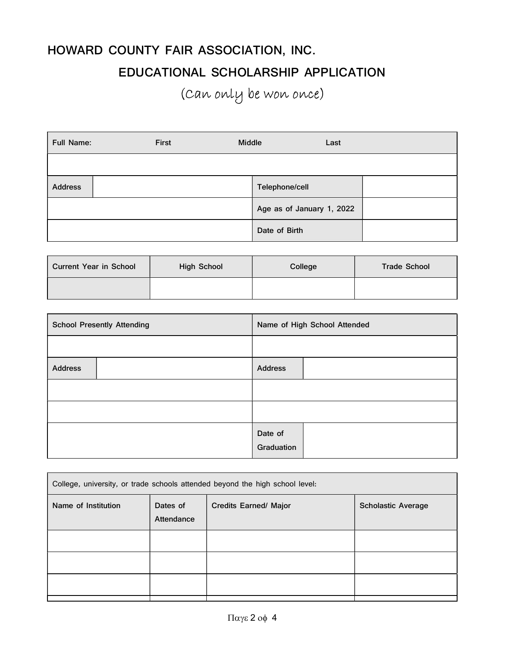# HOWARD COUNTY FAIR ASSOCIATION, INC. EDUCATIONAL SCHOLARSHIP APPLICATION (Can only be won once)

| <b>Full Name:</b> | First | Middle                    | Last |  |
|-------------------|-------|---------------------------|------|--|
|                   |       |                           |      |  |
| <b>Address</b>    |       | Telephone/cell            |      |  |
|                   |       | Age as of January 1, 2022 |      |  |
|                   |       | Date of Birth             |      |  |

| Current Year in School | <b>High School</b> | College | <b>Trade School</b> |
|------------------------|--------------------|---------|---------------------|
|                        |                    |         |                     |

| <b>School Presently Attending</b> | Name of High School Attended |  |
|-----------------------------------|------------------------------|--|
|                                   |                              |  |
| <b>Address</b>                    | <b>Address</b>               |  |
|                                   |                              |  |
|                                   |                              |  |
|                                   | Date of<br>Graduation        |  |

| College, university, or trade schools attended beyond the high school level: |                        |                              |                           |
|------------------------------------------------------------------------------|------------------------|------------------------------|---------------------------|
| Name of Institution                                                          | Dates of<br>Attendance | <b>Credits Earned/ Major</b> | <b>Scholastic Average</b> |
|                                                                              |                        |                              |                           |
|                                                                              |                        |                              |                           |
|                                                                              |                        |                              |                           |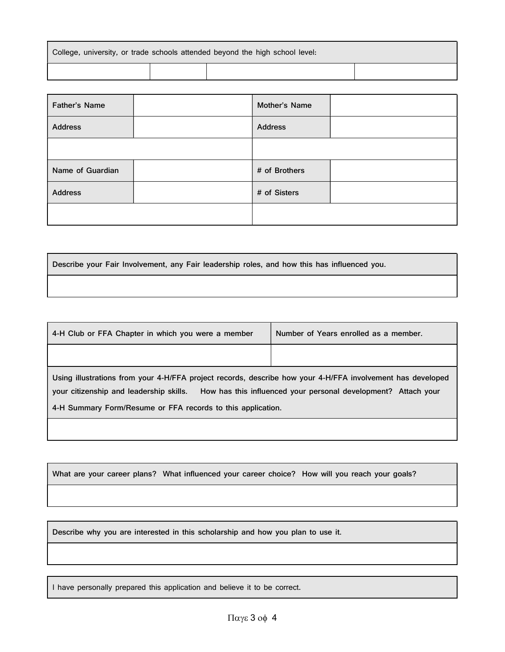| College, university, or trade schools attended beyond the high school level: |  |  |  |  |
|------------------------------------------------------------------------------|--|--|--|--|
|                                                                              |  |  |  |  |

| Father's Name    | Mother's Name  |  |
|------------------|----------------|--|
| <b>Address</b>   | <b>Address</b> |  |
|                  |                |  |
| Name of Guardian | # of Brothers  |  |
| <b>Address</b>   | # of Sisters   |  |
|                  |                |  |

Describe your Fair Involvement, any Fair leadership roles, and how this has influenced you.

| 4-H Club or FFA Chapter in which you were a member                                                                                                    | Number of Years enrolled as a member.                          |  |
|-------------------------------------------------------------------------------------------------------------------------------------------------------|----------------------------------------------------------------|--|
|                                                                                                                                                       |                                                                |  |
| Using illustrations from your 4-H/FFA project records, describe how your 4-H/FFA involvement has developed<br>your citizenship and leadership skills. | How has this influenced your personal development? Attach your |  |
| 4-H Summary Form/Resume or FFA records to this application.                                                                                           |                                                                |  |
|                                                                                                                                                       |                                                                |  |

What are your career plans? What influenced your career choice? How will you reach your goals?

Describe why you are interested in this scholarship and how you plan to use it.

I have personally prepared this application and believe it to be correct.